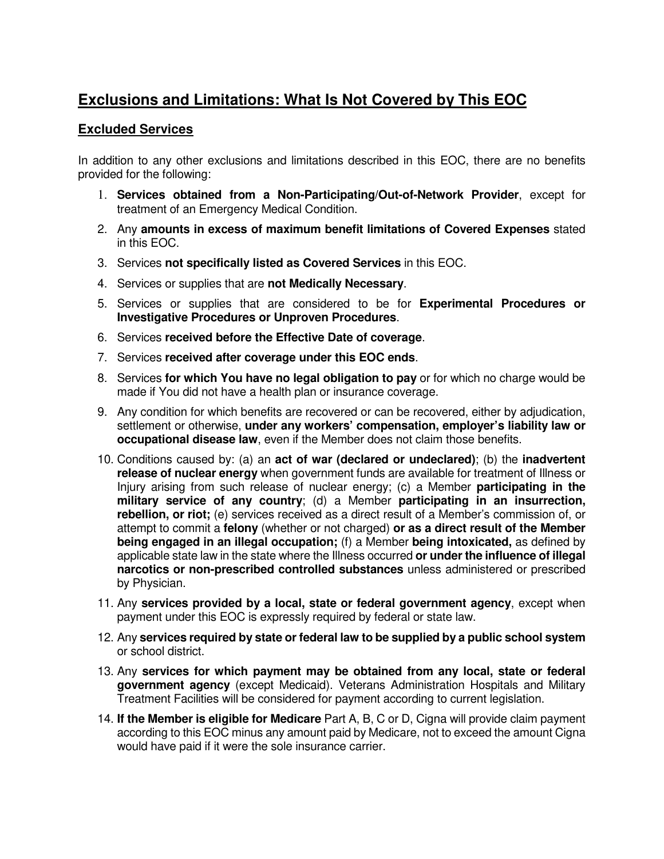## **Exclusions and Limitations: What Is Not Covered by This EOC**

## **Excluded Services**

In addition to any other exclusions and limitations described in this EOC, there are no benefits provided for the following:

- 1. **Services obtained from a Non-Participating/Out-of-Network Provider**, except for treatment of an Emergency Medical Condition.
- 2. Any **amounts in excess of maximum benefit limitations of Covered Expenses** stated in this EOC.
- 3. Services **not specifically listed as Covered Services** in this EOC.
- 4. Services or supplies that are **not Medically Necessary**.
- 5. Services or supplies that are considered to be for **Experimental Procedures or Investigative Procedures or Unproven Procedures**.
- 6. Services **received before the Effective Date of coverage**.
- 7. Services **received after coverage under this EOC ends**.
- 8. Services **for which You have no legal obligation to pay** or for which no charge would be made if You did not have a health plan or insurance coverage.
- 9. Any condition for which benefits are recovered or can be recovered, either by adjudication, settlement or otherwise, **under any workers' compensation, employer's liability law or occupational disease law**, even if the Member does not claim those benefits.
- 10. Conditions caused by: (a) an **act of war (declared or undeclared)**; (b) the **inadvertent release of nuclear energy** when government funds are available for treatment of Illness or Injury arising from such release of nuclear energy; (c) a Member **participating in the military service of any country**; (d) a Member **participating in an insurrection, rebellion, or riot;** (e) services received as a direct result of a Member's commission of, or attempt to commit a **felony** (whether or not charged) **or as a direct result of the Member being engaged in an illegal occupation;** (f) a Member **being intoxicated,** as defined by applicable state law in the state where the Illness occurred **or under the influence of illegal narcotics or non-prescribed controlled substances** unless administered or prescribed by Physician.
- 11. Any **services provided by a local, state or federal government agency**, except when payment under this EOC is expressly required by federal or state law.
- 12. Any **services required by state or federal law to be supplied by a public school system** or school district.
- 13. Any **services for which payment may be obtained from any local, state or federal government agency** (except Medicaid). Veterans Administration Hospitals and Military Treatment Facilities will be considered for payment according to current legislation.
- 14. **If the Member is eligible for Medicare** Part A, B, C or D, Cigna will provide claim payment according to this EOC minus any amount paid by Medicare, not to exceed the amount Cigna would have paid if it were the sole insurance carrier.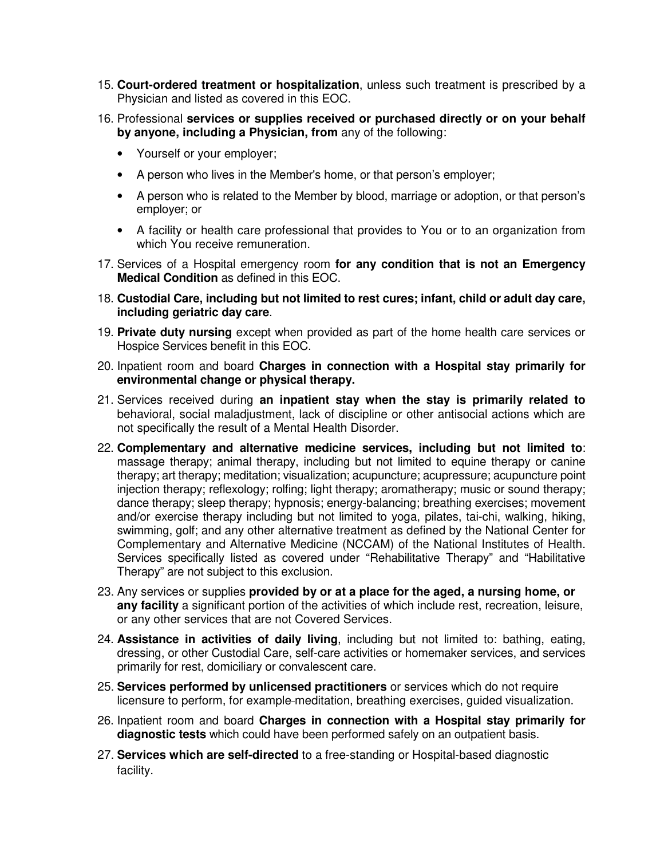- 15. **Court-ordered treatment or hospitalization**, unless such treatment is prescribed by a Physician and listed as covered in this EOC.
- 16. Professional **services or supplies received or purchased directly or on your behalf by anyone, including a Physician, from** any of the following:
	- Yourself or your employer;
	- A person who lives in the Member's home, or that person's employer;
	- A person who is related to the Member by blood, marriage or adoption, or that person's employer; or
	- A facility or health care professional that provides to You or to an organization from which You receive remuneration.
- 17. Services of a Hospital emergency room **for any condition that is not an Emergency Medical Condition** as defined in this EOC.
- 18. **Custodial Care, including but not limited to rest cures; infant, child or adult day care, including geriatric day care**.
- 19. **Private duty nursing** except when provided as part of the home health care services or Hospice Services benefit in this EOC.
- 20. Inpatient room and board **Charges in connection with a Hospital stay primarily for environmental change or physical therapy.**
- 21. Services received during **an inpatient stay when the stay is primarily related to**  behavioral, social maladjustment, lack of discipline or other antisocial actions which are not specifically the result of a Mental Health Disorder.
- 22. **Complementary and alternative medicine services, including but not limited to**: massage therapy; animal therapy, including but not limited to equine therapy or canine therapy; art therapy; meditation; visualization; acupuncture; acupressure; acupuncture point injection therapy; reflexology; rolfing; light therapy; aromatherapy; music or sound therapy; dance therapy; sleep therapy; hypnosis; energy-balancing; breathing exercises; movement and/or exercise therapy including but not limited to yoga, pilates, tai-chi, walking, hiking, swimming, golf; and any other alternative treatment as defined by the National Center for Complementary and Alternative Medicine (NCCAM) of the National Institutes of Health. Services specifically listed as covered under "Rehabilitative Therapy" and "Habilitative Therapy" are not subject to this exclusion.
- 23. Any services or supplies **provided by or at a place for the aged, a nursing home, or any facility** a significant portion of the activities of which include rest, recreation, leisure, or any other services that are not Covered Services.
- 24. **Assistance in activities of daily living**, including but not limited to: bathing, eating, dressing, or other Custodial Care, self-care activities or homemaker services, and services primarily for rest, domiciliary or convalescent care.
- 25. **Services performed by unlicensed practitioners** or services which do not require licensure to perform, for example meditation, breathing exercises, guided visualization.
- 26. Inpatient room and board **Charges in connection with a Hospital stay primarily for diagnostic tests** which could have been performed safely on an outpatient basis.
- 27. **Services which are self-directed** to a free-standing or Hospital-based diagnostic facility.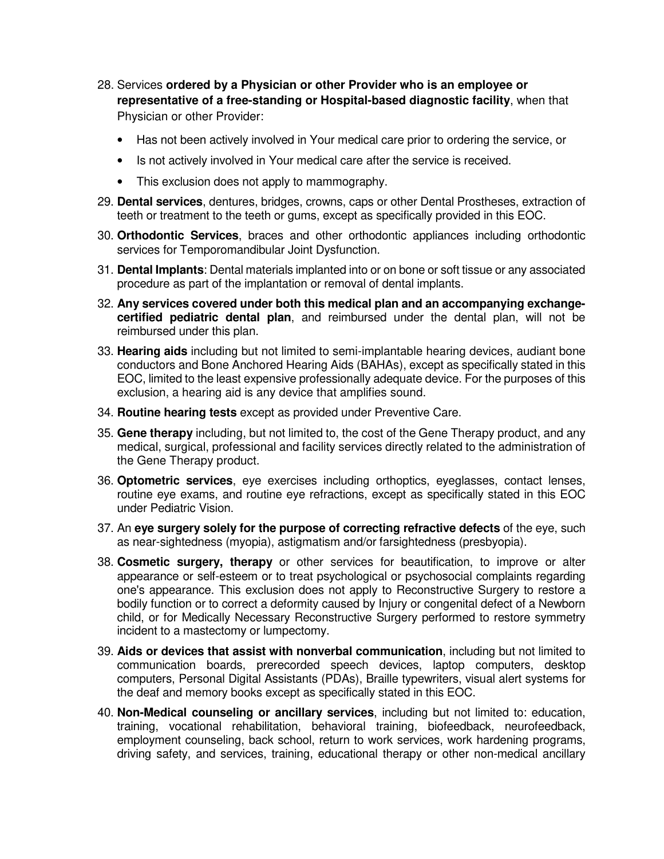- 28. Services **ordered by a Physician or other Provider who is an employee or representative of a free-standing or Hospital-based diagnostic facility**, when that Physician or other Provider:
	- Has not been actively involved in Your medical care prior to ordering the service, or
	- Is not actively involved in Your medical care after the service is received.
	- This exclusion does not apply to mammography.
- 29. **Dental services**, dentures, bridges, crowns, caps or other Dental Prostheses, extraction of teeth or treatment to the teeth or gums, except as specifically provided in this EOC.
- 30. **Orthodontic Services**, braces and other orthodontic appliances including orthodontic services for Temporomandibular Joint Dysfunction.
- 31. **Dental Implants**: Dental materials implanted into or on bone or soft tissue or any associated procedure as part of the implantation or removal of dental implants.
- 32. **Any services covered under both this medical plan and an accompanying exchangecertified pediatric dental plan**, and reimbursed under the dental plan, will not be reimbursed under this plan.
- 33. **Hearing aids** including but not limited to semi-implantable hearing devices, audiant bone conductors and Bone Anchored Hearing Aids (BAHAs), except as specifically stated in this EOC, limited to the least expensive professionally adequate device. For the purposes of this exclusion, a hearing aid is any device that amplifies sound.
- 34. **Routine hearing tests** except as provided under Preventive Care.
- 35. **Gene therapy** including, but not limited to, the cost of the Gene Therapy product, and any medical, surgical, professional and facility services directly related to the administration of the Gene Therapy product.
- 36. **Optometric services**, eye exercises including orthoptics, eyeglasses, contact lenses, routine eye exams, and routine eye refractions, except as specifically stated in this EOC under Pediatric Vision.
- 37. An **eye surgery solely for the purpose of correcting refractive defects** of the eye, such as near-sightedness (myopia), astigmatism and/or farsightedness (presbyopia).
- 38. **Cosmetic surgery, therapy** or other services for beautification, to improve or alter appearance or self-esteem or to treat psychological or psychosocial complaints regarding one's appearance. This exclusion does not apply to Reconstructive Surgery to restore a bodily function or to correct a deformity caused by Injury or congenital defect of a Newborn child, or for Medically Necessary Reconstructive Surgery performed to restore symmetry incident to a mastectomy or lumpectomy.
- 39. **Aids or devices that assist with nonverbal communication**, including but not limited to communication boards, prerecorded speech devices, laptop computers, desktop computers, Personal Digital Assistants (PDAs), Braille typewriters, visual alert systems for the deaf and memory books except as specifically stated in this EOC.
- 40. **Non-Medical counseling or ancillary services**, including but not limited to: education, training, vocational rehabilitation, behavioral training, biofeedback, neurofeedback, employment counseling, back school, return to work services, work hardening programs, driving safety, and services, training, educational therapy or other non-medical ancillary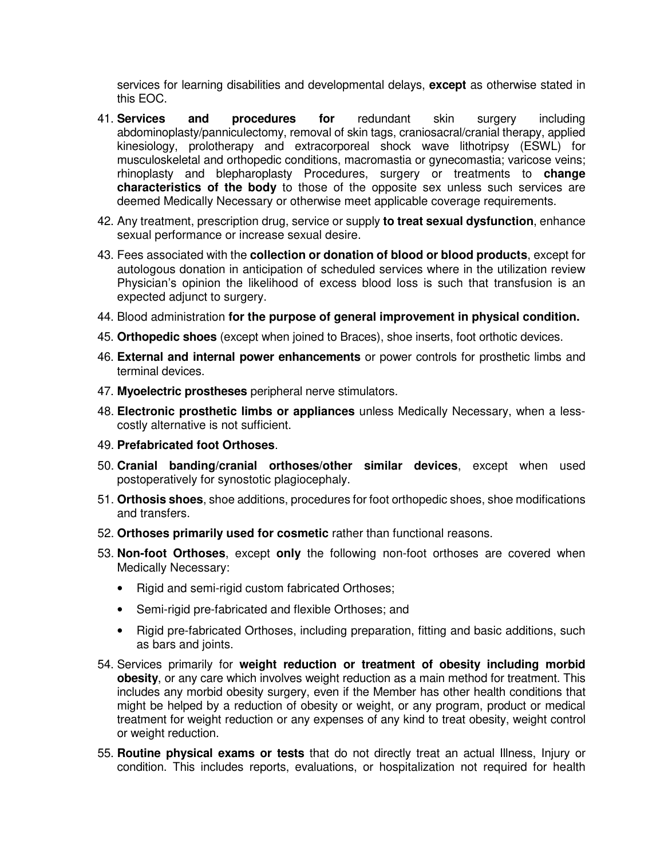services for learning disabilities and developmental delays, **except** as otherwise stated in this EOC.

- 41. **Services and procedures for** redundant skin surgery including abdominoplasty/panniculectomy, removal of skin tags, craniosacral/cranial therapy, applied kinesiology, prolotherapy and extracorporeal shock wave lithotripsy (ESWL) for musculoskeletal and orthopedic conditions, macromastia or gynecomastia; varicose veins; rhinoplasty and blepharoplasty Procedures, surgery or treatments to **change characteristics of the body** to those of the opposite sex unless such services are deemed Medically Necessary or otherwise meet applicable coverage requirements.
- 42. Any treatment, prescription drug, service or supply **to treat sexual dysfunction**, enhance sexual performance or increase sexual desire.
- 43. Fees associated with the **collection or donation of blood or blood products**, except for autologous donation in anticipation of scheduled services where in the utilization review Physician's opinion the likelihood of excess blood loss is such that transfusion is an expected adjunct to surgery.
- 44. Blood administration **for the purpose of general improvement in physical condition.**
- 45. **Orthopedic shoes** (except when joined to Braces), shoe inserts, foot orthotic devices.
- 46. **External and internal power enhancements** or power controls for prosthetic limbs and terminal devices.
- 47. **Myoelectric prostheses** peripheral nerve stimulators.
- 48. **Electronic prosthetic limbs or appliances** unless Medically Necessary, when a lesscostly alternative is not sufficient.
- 49. **Prefabricated foot Orthoses**.
- 50. **Cranial banding/cranial orthoses/other similar devices**, except when used postoperatively for synostotic plagiocephaly.
- 51. **Orthosis shoes**, shoe additions, procedures for foot orthopedic shoes, shoe modifications and transfers.
- 52. **Orthoses primarily used for cosmetic** rather than functional reasons.
- 53. **Non-foot Orthoses**, except **only** the following non-foot orthoses are covered when Medically Necessary:
	- Rigid and semi-rigid custom fabricated Orthoses;
	- Semi-rigid pre-fabricated and flexible Orthoses; and
	- Rigid pre-fabricated Orthoses, including preparation, fitting and basic additions, such as bars and joints.
- 54. Services primarily for **weight reduction or treatment of obesity including morbid obesity**, or any care which involves weight reduction as a main method for treatment. This includes any morbid obesity surgery, even if the Member has other health conditions that might be helped by a reduction of obesity or weight, or any program, product or medical treatment for weight reduction or any expenses of any kind to treat obesity, weight control or weight reduction.
- 55. **Routine physical exams or tests** that do not directly treat an actual Illness, Injury or condition. This includes reports, evaluations, or hospitalization not required for health